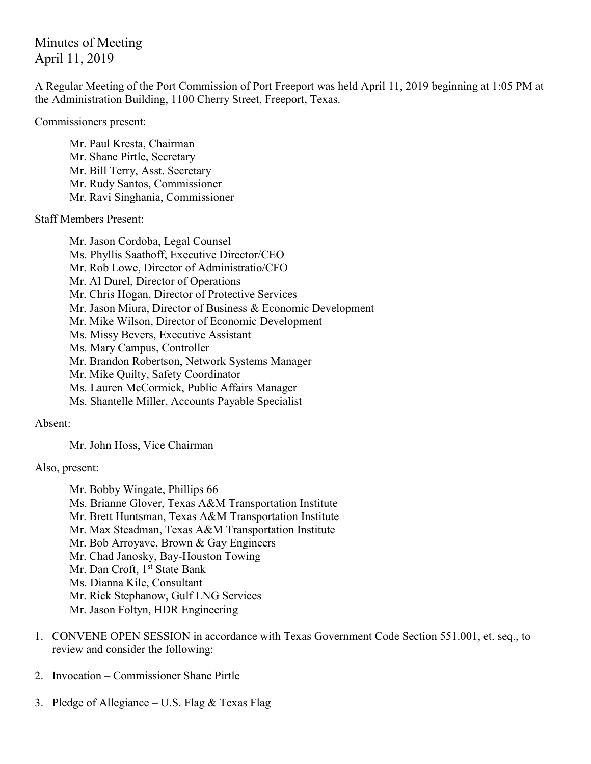Minutes of Meeting April 11, 2019

A Regular Meeting of the Port Commission of Port Freeport was held April 11, 2019 beginning at 1:05 PM at the Administration Building, 1100 Cherry Street, Freeport, Texas.

Commissioners present:

Mr. Paul Kresta, Chairman Mr. Shane Pirtle, Secretary Mr. Bill Terry, Asst. Secretary Mr. Rudy Santos, Commissioner Mr. Ravi Singhania, Commissioner

Staff Members Present:

Mr. Jason Cordoba, Legal Counsel Ms. Phyllis Saathoff, Executive Director/CEO Mr. Rob Lowe, Director of Administratio/CFO Mr. Al Durel, Director of Operations Mr. Chris Hogan, Director of Protective Services Mr. Jason Miura, Director of Business & Economic Development Mr. Mike Wilson, Director of Economic Development Ms. Missy Bevers, Executive Assistant Ms. Mary Campus, Controller Mr. Brandon Robertson, Network Systems Manager Mr. Mike Quilty, Safety Coordinator Ms. Lauren McCormick, Public Affairs Manager Ms. Shantelle Miller, Accounts Payable Specialist

Absent:

Mr. John Hoss, Vice Chairman

Also, present:

Mr. Bobby Wingate, Phillips 66 Ms. Brianne Glover, Texas A&M Transportation Institute Mr. Brett Huntsman, Texas A&M Transportation Institute Mr. Max Steadman, Texas A&M Transportation Institute Mr. Bob Arroyave, Brown & Gay Engineers Mr. Chad Janosky, Bay-Houston Towing Mr. Dan Croft, 1<sup>st</sup> State Bank Ms. Dianna Kile, Consultant Mr. Rick Stephanow, Gulf LNG Services Mr. Jason Foltyn, HDR Engineering

- 1. CONVENE OPEN SESSION in accordance with Texas Government Code Section 551.001, et. seq., to review and consider the following:
- 2. Invocation Commissioner Shane Pirtle
- 3. Pledge of Allegiance U.S. Flag & Texas Flag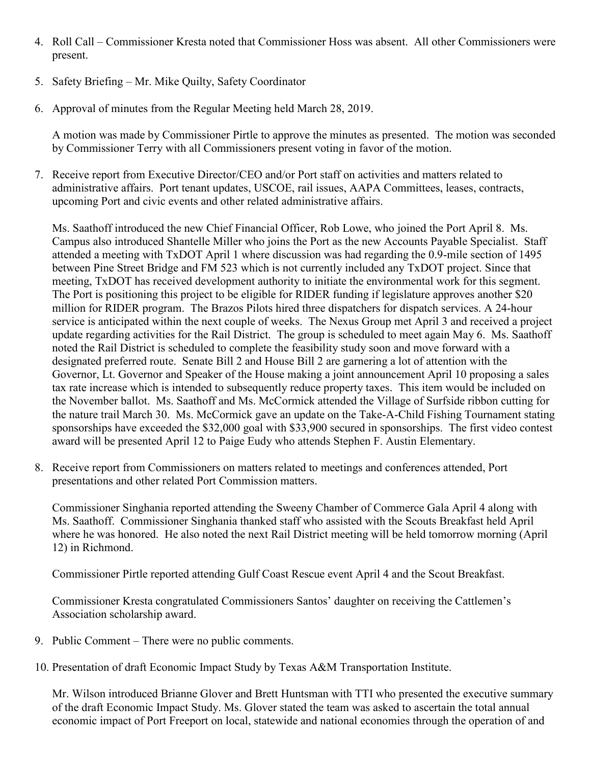- 4. Roll Call Commissioner Kresta noted that Commissioner Hoss was absent. All other Commissioners were present.
- 5. Safety Briefing Mr. Mike Quilty, Safety Coordinator
- 6. Approval of minutes from the Regular Meeting held March 28, 2019.

A motion was made by Commissioner Pirtle to approve the minutes as presented. The motion was seconded by Commissioner Terry with all Commissioners present voting in favor of the motion.

7. Receive report from Executive Director/CEO and/or Port staff on activities and matters related to administrative affairs. Port tenant updates, USCOE, rail issues, AAPA Committees, leases, contracts, upcoming Port and civic events and other related administrative affairs.

Ms. Saathoff introduced the new Chief Financial Officer, Rob Lowe, who joined the Port April 8. Ms. Campus also introduced Shantelle Miller who joins the Port as the new Accounts Payable Specialist. Staff attended a meeting with TxDOT April 1 where discussion was had regarding the 0.9-mile section of 1495 between Pine Street Bridge and FM 523 which is not currently included any TxDOT project. Since that meeting, TxDOT has received development authority to initiate the environmental work for this segment. The Port is positioning this project to be eligible for RIDER funding if legislature approves another \$20 million for RIDER program. The Brazos Pilots hired three dispatchers for dispatch services. A 24-hour service is anticipated within the next couple of weeks. The Nexus Group met April 3 and received a project update regarding activities for the Rail District. The group is scheduled to meet again May 6. Ms. Saathoff noted the Rail District is scheduled to complete the feasibility study soon and move forward with a designated preferred route. Senate Bill 2 and House Bill 2 are garnering a lot of attention with the Governor, Lt. Governor and Speaker of the House making a joint announcement April 10 proposing a sales tax rate increase which is intended to subsequently reduce property taxes. This item would be included on the November ballot. Ms. Saathoff and Ms. McCormick attended the Village of Surfside ribbon cutting for the nature trail March 30. Ms. McCormick gave an update on the Take-A-Child Fishing Tournament stating sponsorships have exceeded the \$32,000 goal with \$33,900 secured in sponsorships. The first video contest award will be presented April 12 to Paige Eudy who attends Stephen F. Austin Elementary.

8. Receive report from Commissioners on matters related to meetings and conferences attended, Port presentations and other related Port Commission matters.

Commissioner Singhania reported attending the Sweeny Chamber of Commerce Gala April 4 along with Ms. Saathoff. Commissioner Singhania thanked staff who assisted with the Scouts Breakfast held April where he was honored. He also noted the next Rail District meeting will be held tomorrow morning (April 12) in Richmond.

Commissioner Pirtle reported attending Gulf Coast Rescue event April 4 and the Scout Breakfast.

Commissioner Kresta congratulated Commissioners Santos' daughter on receiving the Cattlemen's Association scholarship award.

- 9. Public Comment There were no public comments.
- 10. Presentation of draft Economic Impact Study by Texas A&M Transportation Institute.

Mr. Wilson introduced Brianne Glover and Brett Huntsman with TTI who presented the executive summary of the draft Economic Impact Study. Ms. Glover stated the team was asked to ascertain the total annual economic impact of Port Freeport on local, statewide and national economies through the operation of and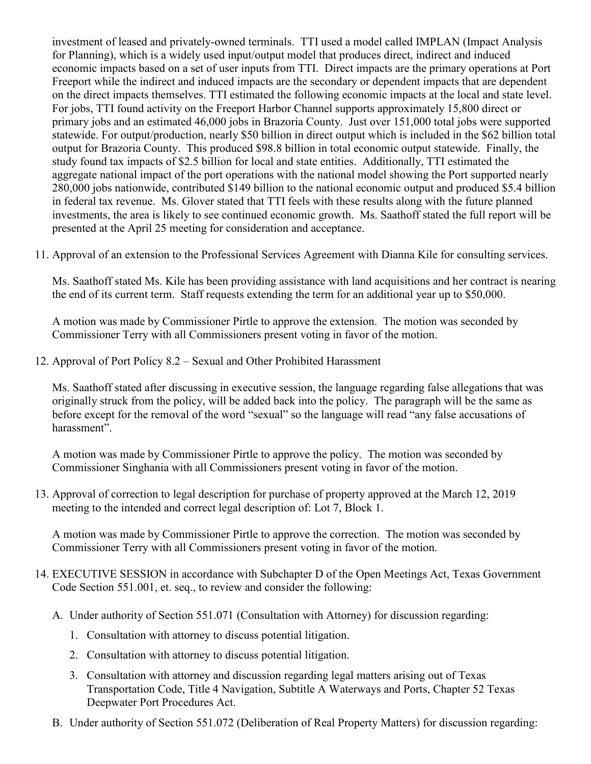investment of leased and privately-owned terminals. TTI used a model called IMPLAN (Impact Analysis for Planning), which is a widely used input/output model that produces direct, indirect and induced economic impacts based on a set of user inputs from TTI. Direct impacts are the primary operations at Port Freeport while the indirect and induced impacts are the secondary or dependent impacts that are dependent on the direct impacts themselves. TTI estimated the following economic impacts at the local and state level. For jobs, TTI found activity on the Freeport Harbor Channel supports approximately 15,800 direct or primary jobs and an estimated 46,000 jobs in Brazoria County. Just over 151,000 total jobs were supported statewide. For output/production, nearly \$50 billion in direct output which is included in the \$62 billion total output for Brazoria County. This produced \$98.8 billion in total economic output statewide. Finally, the study found tax impacts of \$2.5 billion for local and state entities. Additionally, TTI estimated the aggregate national impact of the port operations with the national model showing the Port supported nearly 280,000 jobs nationwide, contributed \$149 billion to the national economic output and produced \$5.4 billion in federal tax revenue. Ms. Glover stated that TTI feels with these results along with the future planned investments, the area is likely to see continued economic growth. Ms. Saathoff stated the full report will be presented at the April 25 meeting for consideration and acceptance.

11. Approval of an extension to the Professional Services Agreement with Dianna Kile for consulting services.

Ms. Saathoff stated Ms. Kile has been providing assistance with land acquisitions and her contract is nearing the end of its current term. Staff requests extending the term for an additional year up to \$50,000.

A motion was made by Commissioner Pirtle to approve the extension. The motion was seconded by Commissioner Terry with all Commissioners present voting in favor of the motion.

12. Approval of Port Policy 8.2 – Sexual and Other Prohibited Harassment

Ms. Saathoff stated after discussing in executive session, the language regarding false allegations that was originally struck from the policy, will be added back into the policy. The paragraph will be the same as before except for the removal of the word "sexual" so the language will read "any false accusations of harassment".

A motion was made by Commissioner Pirtle to approve the policy. The motion was seconded by Commissioner Singhania with all Commissioners present voting in favor of the motion.

13. Approval of correction to legal description for purchase of property approved at the March 12, 2019 meeting to the intended and correct legal description of: Lot 7, Block 1.

A motion was made by Commissioner Pirtle to approve the correction. The motion was seconded by Commissioner Terry with all Commissioners present voting in favor of the motion.

- 14. EXECUTIVE SESSION in accordance with Subchapter D of the Open Meetings Act, Texas Government Code Section 551.001, et. seq., to review and consider the following:
	- A. Under authority of Section 551.071 (Consultation with Attorney) for discussion regarding:
		- 1. Consultation with attorney to discuss potential litigation.
		- 2. Consultation with attorney to discuss potential litigation.
		- 3. Consultation with attorney and discussion regarding legal matters arising out of Texas Transportation Code, Title 4 Navigation, Subtitle A Waterways and Ports, Chapter 52 Texas Deepwater Port Procedures Act.
	- B. Under authority of Section 551.072 (Deliberation of Real Property Matters) for discussion regarding: